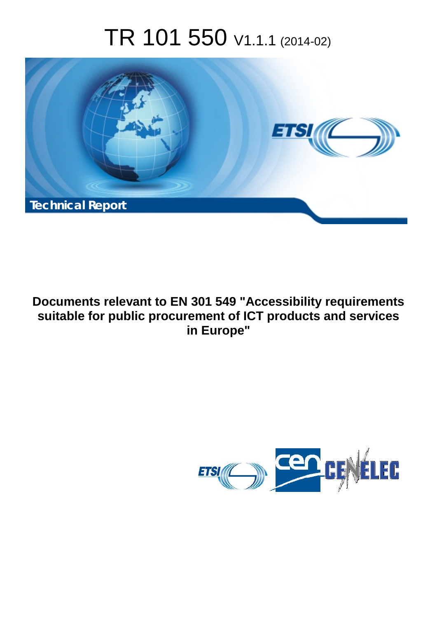# TR 101 550 V1.1.1 (2014-02)



## **Documents relevant to EN 301 549 "Accessibility requirements suitable for public procurement of ICT products and services in Europe"**

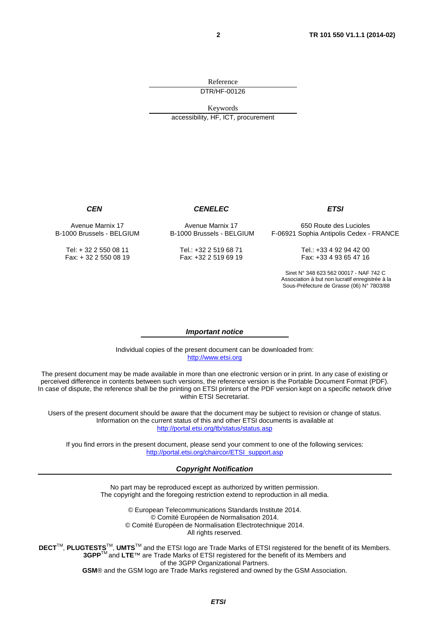Reference DTR/HF-00126

Keywords

accessibility, HF, ICT, procurement

*CEN*

#### *CENELEC*

*ETSI*

Avenue Marnix 17 B-1000 Brussels - BELGIUM

> Tel: + 32 2 550 08 11 Fax: + 32 2 550 08 19

Avenue Marnix 17 B-1000 Brussels - BELGIUM

> Tel.: +32 2 519 68 71 Fax: +32 2 519 69 19

650 Route des Lucioles F-06921 Sophia Antipolis Cedex - FRANCE

> Tel.: +33 4 92 94 42 00 Fax: +33 4 93 65 47 16

Siret N° 348 623 562 00017 - NAF 742 C Association à but non lucratif enregistrée à la Sous-Préfecture de Grasse (06) N° 7803/88

#### *Important notice*

Individual copies of the present document can be downloaded from: [http://www.etsi.org](http://www.etsi.org/)

The present document may be made available in more than one electronic version or in print. In any case of existing or perceived difference in contents between such versions, the reference version is the Portable Document Format (PDF). In case of dispute, the reference shall be the printing on ETSI printers of the PDF version kept on a specific network drive within ETSI Secretariat.

Users of the present document should be aware that the document may be subject to revision or change of status. Information on the current status of this and other ETSI documents is available at <http://portal.etsi.org/tb/status/status.asp>

If you find errors in the present document, please send your comment to one of the following services: [http://portal.etsi.org/chaircor/ETSI\\_support.asp](http://portal.etsi.org/chaircor/ETSI_support.asp)

#### *Copyright Notification*

No part may be reproduced except as authorized by written permission. The copyright and the foregoing restriction extend to reproduction in all media.

> © European Telecommunications Standards Institute 2014. © Comité Européen de Normalisation 2014. © Comité Européen de Normalisation Electrotechnique 2014. All rights reserved.

DECT<sup>™</sup>, PLUGTESTS<sup>™</sup>, UMTS<sup>™</sup> and the ETSI logo are Trade Marks of ETSI registered for the benefit of its Members. **3GPP**TM and **LTE**™ are Trade Marks of ETSI registered for the benefit of its Members and of the 3GPP Organizational Partners.

**GSM**® and the GSM logo are Trade Marks registered and owned by the GSM Association.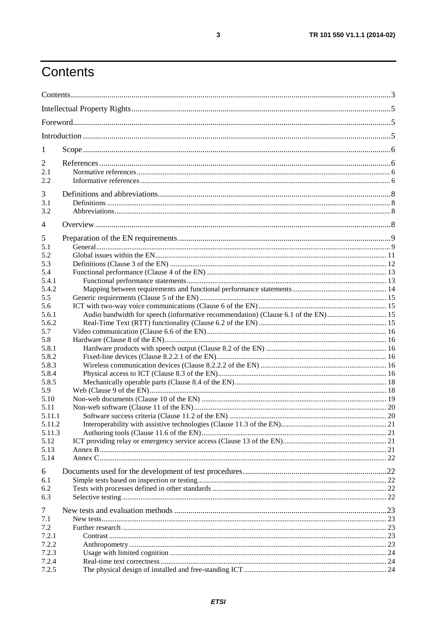# <span id="page-2-0"></span>Contents

| 1                |                                                                                   |  |  |  |  |
|------------------|-----------------------------------------------------------------------------------|--|--|--|--|
| 2                |                                                                                   |  |  |  |  |
| 2.1<br>2.2       |                                                                                   |  |  |  |  |
|                  |                                                                                   |  |  |  |  |
| 3                |                                                                                   |  |  |  |  |
| 3.1              |                                                                                   |  |  |  |  |
| 3.2              |                                                                                   |  |  |  |  |
| 4                |                                                                                   |  |  |  |  |
| 5                |                                                                                   |  |  |  |  |
| 5.1              |                                                                                   |  |  |  |  |
| 5.2              |                                                                                   |  |  |  |  |
| 5.3              |                                                                                   |  |  |  |  |
| 5.4              |                                                                                   |  |  |  |  |
| 5.4.1<br>5.4.2   |                                                                                   |  |  |  |  |
| 5.5              |                                                                                   |  |  |  |  |
| 5.6              |                                                                                   |  |  |  |  |
| 5.6.1            | Audio bandwidth for speech (informative recommendation) (Clause 6.1 of the EN) 15 |  |  |  |  |
| 5.6.2            |                                                                                   |  |  |  |  |
| 5.7              |                                                                                   |  |  |  |  |
| 5.8              |                                                                                   |  |  |  |  |
| 5.8.1            |                                                                                   |  |  |  |  |
| 5.8.2            |                                                                                   |  |  |  |  |
| 5.8.3            |                                                                                   |  |  |  |  |
| 5.8.4            |                                                                                   |  |  |  |  |
| 5.8.5            |                                                                                   |  |  |  |  |
| 5.9              |                                                                                   |  |  |  |  |
| 5.10             |                                                                                   |  |  |  |  |
| 5.11             |                                                                                   |  |  |  |  |
| 5.11.1           |                                                                                   |  |  |  |  |
| 5.11.2<br>5.11.3 |                                                                                   |  |  |  |  |
| 5.12             |                                                                                   |  |  |  |  |
| 5.13             |                                                                                   |  |  |  |  |
| 5.14             |                                                                                   |  |  |  |  |
|                  |                                                                                   |  |  |  |  |
| 6                |                                                                                   |  |  |  |  |
| 6.1              |                                                                                   |  |  |  |  |
| 6.2              |                                                                                   |  |  |  |  |
| 6.3              |                                                                                   |  |  |  |  |
| 7                |                                                                                   |  |  |  |  |
| 7.1              |                                                                                   |  |  |  |  |
| 7.2              |                                                                                   |  |  |  |  |
| 7.2.1            |                                                                                   |  |  |  |  |
| 7.2.2            |                                                                                   |  |  |  |  |
| 7.2.3            |                                                                                   |  |  |  |  |
| 7.2.4            |                                                                                   |  |  |  |  |
| 7.2.5            |                                                                                   |  |  |  |  |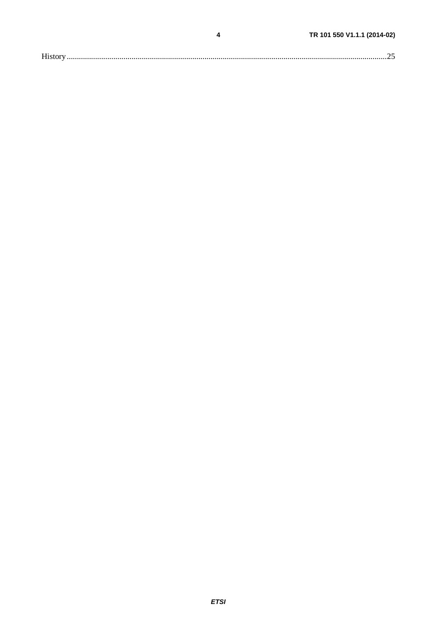|--|

 $\overline{\mathbf{4}}$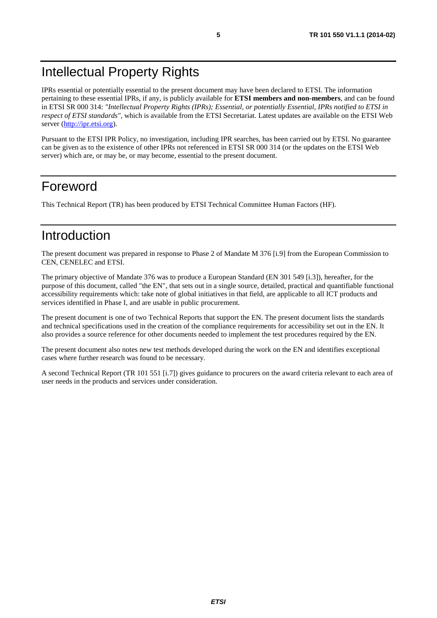### <span id="page-4-0"></span>Intellectual Property Rights

IPRs essential or potentially essential to the present document may have been declared to ETSI. The information pertaining to these essential IPRs, if any, is publicly available for **ETSI members and non-members**, and can be found in ETSI SR 000 314: *"Intellectual Property Rights (IPRs); Essential, or potentially Essential, IPRs notified to ETSI in respect of ETSI standards"*, which is available from the ETSI Secretariat. Latest updates are available on the ETSI Web server [\(http://ipr.etsi.org\)](http://webapp.etsi.org/IPR/home.asp).

Pursuant to the ETSI IPR Policy, no investigation, including IPR searches, has been carried out by ETSI. No guarantee can be given as to the existence of other IPRs not referenced in ETSI SR 000 314 (or the updates on the ETSI Web server) which are, or may be, or may become, essential to the present document.

### <span id="page-4-1"></span>Foreword

This Technical Report (TR) has been produced by ETSI Technical Committee Human Factors (HF).

### <span id="page-4-2"></span>Introduction

The present document was prepared in response to Phase 2 of Mandate M 376 [i.9] from the European Commission to CEN, CENELEC and ETSI.

The primary objective of Mandate 376 was to produce a European Standard (EN 301 549 [i.3]), hereafter, for the purpose of this document, called "the EN", that sets out in a single source, detailed, practical and quantifiable functional accessibility requirements which: take note of global initiatives in that field, are applicable to all ICT products and services identified in Phase I, and are usable in public procurement.

The present document is one of two Technical Reports that support the EN. The present document lists the standards and technical specifications used in the creation of the compliance requirements for accessibility set out in the EN. It also provides a source reference for other documents needed to implement the test procedures required by the EN.

The present document also notes new test methods developed during the work on the EN and identifies exceptional cases where further research was found to be necessary.

A second Technical Report (TR 101 551 [i.7]) gives guidance to procurers on the award criteria relevant to each area of user needs in the products and services under consideration.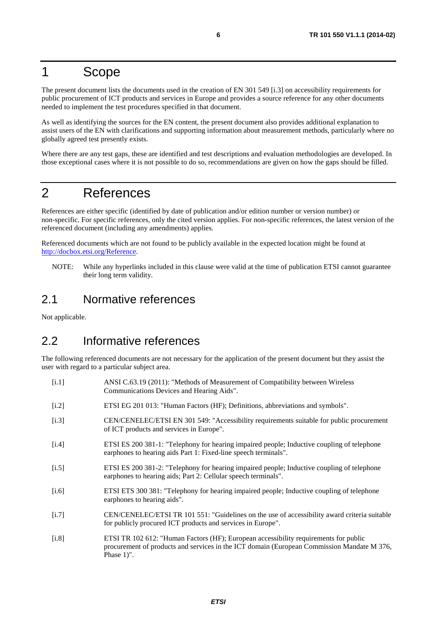### <span id="page-5-0"></span>1 Scope

The present document lists the documents used in the creation of EN 301 549 [i.3] on accessibility requirements for public procurement of ICT products and services in Europe and provides a source reference for any other documents needed to implement the test procedures specified in that document.

As well as identifying the sources for the EN content, the present document also provides additional explanation to assist users of the EN with clarifications and supporting information about measurement methods, particularly where no globally agreed test presently exists.

Where there are any test gaps, these are identified and test descriptions and evaluation methodologies are developed. In those exceptional cases where it is not possible to do so, recommendations are given on how the gaps should be filled.

### <span id="page-5-1"></span>2 References

References are either specific (identified by date of publication and/or edition number or version number) or non-specific. For specific references, only the cited version applies. For non-specific references, the latest version of the referenced document (including any amendments) applies.

Referenced documents which are not found to be publicly available in the expected location might be found at [http://docbox.etsi.org/Reference.](http://docbox.etsi.org/Reference)

NOTE: While any hyperlinks included in this clause were valid at the time of publication ETSI cannot guarantee their long term validity.

#### <span id="page-5-2"></span>2.1 Normative references

Not applicable.

### <span id="page-5-3"></span>2.2 Informative references

The following referenced documents are not necessary for the application of the present document but they assist the user with regard to a particular subject area.

| [i.1]   | ANSI C.63.19 (2011): "Methods of Measurement of Compatibility between Wireless<br>Communications Devices and Hearing Aids".                                                                      |
|---------|--------------------------------------------------------------------------------------------------------------------------------------------------------------------------------------------------|
| $[1.2]$ | ETSI EG 201 013: "Human Factors (HF); Definitions, abbreviations and symbols".                                                                                                                   |
| [i.3]   | CEN/CENELEC/ETSI EN 301 549: "Accessibility requirements suitable for public procurement<br>of ICT products and services in Europe".                                                             |
| [i.4]   | ETSI ES 200 381-1: "Telephony for hearing impaired people; Inductive coupling of telephone<br>earphones to hearing aids Part 1: Fixed-line speech terminals".                                    |
| [i.5]   | ETSI ES 200 381-2: "Telephony for hearing impaired people; Inductive coupling of telephone<br>earphones to hearing aids; Part 2: Cellular speech terminals".                                     |
| [i.6]   | ETSI ETS 300 381: "Telephony for hearing impaired people; Inductive coupling of telephone<br>earphones to hearing aids".                                                                         |
| $[1.7]$ | CEN/CENELEC/ETSI TR 101 551: "Guidelines on the use of accessibility award criteria suitable<br>for publicly procured ICT products and services in Europe".                                      |
| [i.8]   | ETSI TR 102 612: "Human Factors (HF); European accessibility requirements for public<br>procurement of products and services in the ICT domain (European Commission Mandate M 376,<br>Phase 1)". |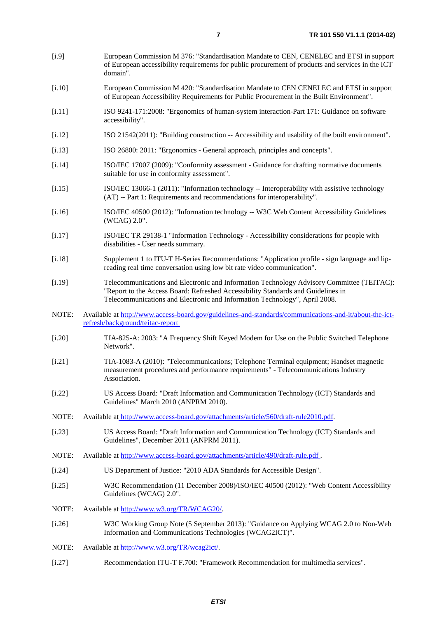- [i.9] European Commission M 376: "Standardisation Mandate to CEN, CENELEC and ETSI in support of European accessibility requirements for public procurement of products and services in the ICT domain".
- [i.10] European Commission M 420: "Standardisation Mandate to CEN CENELEC and ETSI in support of European Accessibility Requirements for Public Procurement in the Built Environment".
- <span id="page-6-1"></span>[i.11] ISO 9241-171:2008: "Ergonomics of human-system interaction-Part 171: Guidance on software accessibility".
- [i.12] ISO 21542(2011): "Building construction -- Accessibility and usability of the built environment".
- <span id="page-6-0"></span>[i.13] ISO 26800: 2011: "Ergonomics - General approach, principles and concepts".
- [i.14] ISO/IEC 17007 (2009): "Conformity assessment Guidance for drafting normative documents suitable for use in conformity assessment".
- [i.15] ISO/IEC 13066-1 (2011): "Information technology -- Interoperability with assistive technology (AT) -- Part 1: Requirements and recommendations for interoperability".
- [i.16] ISO/IEC 40500 (2012): "Information technology -- W3C Web Content Accessibility Guidelines (WCAG) 2.0".
- [i.17] ISO/IEC TR 29138-1 "Information Technology Accessibility considerations for people with disabilities - User needs summary.
- [i.18] Supplement 1 to ITU-T H-Series Recommendations: "Application profile sign language and lipreading real time conversation using low bit rate video communication".
- [i.19] Telecommunications and Electronic and Information Technology Advisory Committee (TEITAC): "Report to the Access Board: Refreshed Accessibility Standards and Guidelines in Telecommunications and Electronic and Information Technology", April 2008.
- NOTE: Available at [http://www.access-board.gov/guidelines-and-standards/communications-and-it/about-the-ict](http://www.access-board.gov/guidelines-and-standards/communications-and-it/about-the-ict-refresh/background/teitac-report)[refresh/background/teitac-report](http://www.access-board.gov/guidelines-and-standards/communications-and-it/about-the-ict-refresh/background/teitac-report)
- [i.20] TIA-825-A: 2003: "A Frequency Shift Keyed Modem for Use on the Public Switched Telephone Network".
- [i.21] TIA-1083-A (2010): "Telecommunications; Telephone Terminal equipment; Handset magnetic measurement procedures and performance requirements" - Telecommunications Industry Association.
- [i.22] US Access Board: "Draft Information and Communication Technology (ICT) Standards and Guidelines" March 2010 (ANPRM 2010).
- NOTE: Available at [http://www.access-board.gov/attachments/article/560/draft-rule2010.pdf.](http://www.access-board.gov/attachments/article/560/draft-rule2010.pdf)
- [i.23] US Access Board: "Draft Information and Communication Technology (ICT) Standards and Guidelines", December 2011 (ANPRM 2011).
- NOTE: Available at [http://www.access-board.gov/attachments/article/490/draft-rule.pdf .](http://www.access-board.gov/attachments/article/490/draft-rule.pdf)
- [i.24] US Department of Justice: "2010 ADA Standards for Accessible Design".
- [i.25] W3C Recommendation (11 December 2008)/ISO/IEC 40500 (2012): "Web Content Accessibility Guidelines (WCAG) 2.0".
- NOTE: Available at [http://www.w3.org/TR/WCAG20/.](http://www.w3.org/TR/WCAG20/)
- [i.26] W3C Working Group Note (5 September 2013): "Guidance on Applying WCAG 2.0 to Non-Web Information and Communications Technologies (WCAG2ICT)".
- NOTE: Available at [http://www.w3.org/TR/wcag2ict/.](http://www.w3.org/TR/wcag2ict/)
- [i.27] Recommendation ITU-T F.700: "Framework Recommendation for multimedia services".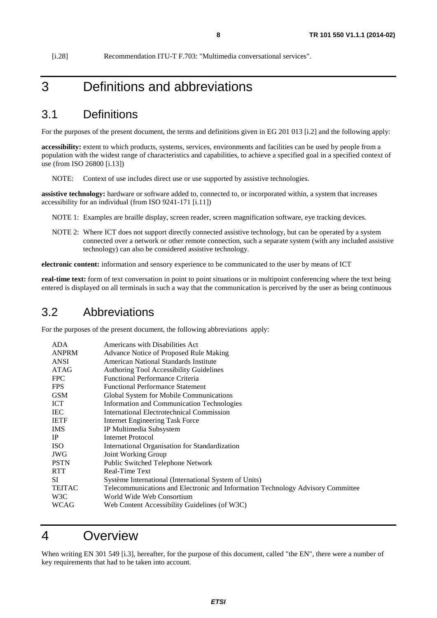[i.28] Recommendation ITU-T F.703: "Multimedia conversational services".

### <span id="page-7-0"></span>3 Definitions and abbreviations

#### <span id="page-7-1"></span>3.1 Definitions

For the purposes of the present document, the terms and definitions given in EG 201 013 [i.2] and the following apply:

**accessibility:** extent to which products, systems, services, environments and facilities can be used by people from a population with the widest range of characteristics and capabilities, to achieve a specified goal in a specified context of use (from ISO 26800 [\[i.13\]](#page-6-0))

NOTE: Context of use includes direct use or use supported by assistive technologies.

**assistive technology:** hardware or software added to, connected to, or incorporated within, a system that increases accessibility for an individual (from ISO 9241-171 [\[i.11\]](#page-6-1))

- NOTE 1: Examples are braille display, screen reader, screen magnification software, eye tracking devices.
- NOTE 2: Where ICT does not support directly connected assistive technology, but can be operated by a system connected over a network or other remote connection, such a separate system (with any included assistive technology) can also be considered assistive technology.

**electronic content:** information and sensory experience to be communicated to the user by means of ICT

**real-time text:** form of text conversation in point to point situations or in multipoint conferencing where the text being entered is displayed on all terminals in such a way that the communication is perceived by the user as being continuous

#### <span id="page-7-2"></span>3.2 Abbreviations

For the purposes of the present document, the following abbreviations apply:

| <b>ADA</b>    | Americans with Disabilities Act                                                 |
|---------------|---------------------------------------------------------------------------------|
| <b>ANPRM</b>  | Advance Notice of Proposed Rule Making                                          |
| <b>ANSI</b>   | American National Standards Institute                                           |
| ATAG          | Authoring Tool Accessibility Guidelines                                         |
| <b>FPC</b>    | Functional Performance Criteria                                                 |
| FPS           | <b>Functional Performance Statement</b>                                         |
| <b>GSM</b>    | Global System for Mobile Communications                                         |
| ICT           | <b>Information and Communication Technologies</b>                               |
| <b>IEC</b>    | International Electrotechnical Commission                                       |
| <b>IETF</b>   | Internet Engineering Task Force                                                 |
| <b>IMS</b>    | IP Multimedia Subsystem                                                         |
| IP            | Internet Protocol                                                               |
| <b>ISO</b>    | International Organisation for Standardization                                  |
| <b>JWG</b>    | Joint Working Group                                                             |
| <b>PSTN</b>   | Public Switched Telephone Network                                               |
| <b>RTT</b>    | Real-Time Text                                                                  |
| <b>SI</b>     | Système International (International System of Units)                           |
| <b>TEITAC</b> | Telecommunications and Electronic and Information Technology Advisory Committee |
| W3C           | World Wide Web Consortium                                                       |
| WCAG          | Web Content Accessibility Guidelines (of W3C)                                   |
|               |                                                                                 |

#### <span id="page-7-3"></span>4 Overview

When writing EN 301 549 [i.3], hereafter, for the purpose of this document, called "the EN", there were a number of key requirements that had to be taken into account.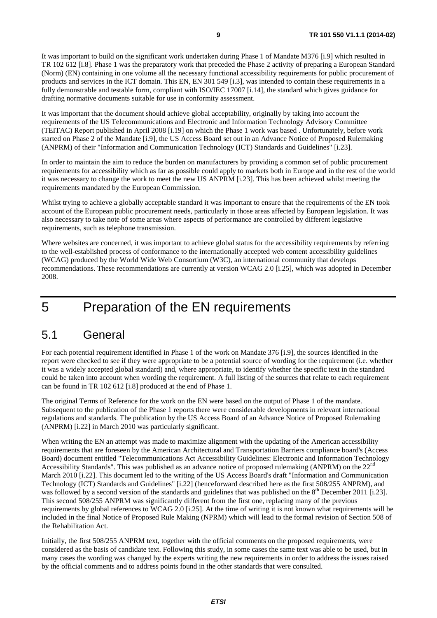It was important to build on the significant work undertaken during Phase 1 of Mandate M376 [i.9] which resulted in TR 102 612 [i.8]. Phase 1 was the preparatory work that preceded the Phase 2 activity of preparing a European Standard (Norm) (EN) containing in one volume all the necessary functional accessibility requirements for public procurement of products and services in the ICT domain. This EN, EN 301 549 [i.3], was intended to contain these requirements in a fully demonstrable and testable form, compliant with ISO/IEC 17007 [i.14], the standard which gives guidance for drafting normative documents suitable for use in conformity assessment.

It was important that the document should achieve global acceptability, originally by taking into account the requirements of the US Telecommunications and Electronic and Information Technology Advisory Committee (TEITAC) Report published in April 2008 [i.19] on which the Phase 1 work was based . Unfortunately, before work started on Phase 2 of the Mandate [i.9], the US Access Board set out in an Advance Notice of Proposed Rulemaking (ANPRM) of their "Information and Communication Technology (ICT) Standards and Guidelines" [i.23].

In order to maintain the aim to reduce the burden on manufacturers by providing a common set of public procurement requirements for accessibility which as far as possible could apply to markets both in Europe and in the rest of the world it was necessary to change the work to meet the new US ANPRM [i.23]. This has been achieved whilst meeting the requirements mandated by the European Commission.

Whilst trying to achieve a globally acceptable standard it was important to ensure that the requirements of the EN took account of the European public procurement needs, particularly in those areas affected by European legislation. It was also necessary to take note of some areas where aspects of performance are controlled by different legislative requirements, such as telephone transmission.

Where websites are concerned, it was important to achieve global status for the accessibility requirements by referring to the well-established process of conformance to the internationally accepted web content accessibility guidelines (WCAG) produced by the World Wide Web Consortium (W3C), an international community that develops recommendations. These recommendations are currently at version WCAG 2.0 [i.25], which was adopted in December 2008.

### <span id="page-8-0"></span>5 Preparation of the EN requirements

#### <span id="page-8-1"></span>5.1 General

For each potential requirement identified in Phase 1 of the work on Mandate 376 [i.9], the sources identified in the report were checked to see if they were appropriate to be a potential source of wording for the requirement (i.e. whether it was a widely accepted global standard) and, where appropriate, to identify whether the specific text in the standard could be taken into account when wording the requirement. A full listing of the sources that relate to each requirement can be found in TR 102 612 [i.8] produced at the end of Phase 1.

The original Terms of Reference for the work on the EN were based on the output of Phase 1 of the mandate. Subsequent to the publication of the Phase 1 reports there were considerable developments in relevant international regulations and standards. The publication by the US Access Board of an Advance Notice of Proposed Rulemaking (ANPRM) [i.22] in March 2010 was particularly significant.

When writing the EN an attempt was made to maximize alignment with the updating of the American accessibility requirements that are foreseen by the American Architectural and Transportation Barriers compliance board's (Access Board) document entitled "Telecommunications Act Accessibility Guidelines: Electronic and Information Technology Accessibility Standards". This was published as an advance notice of proposed rulemaking (ANPRM) on the  $22<sup>nd</sup>$ March 2010 [i.22]. This document led to the writing of the US Access Board's draft "Information and Communication Technology (ICT) Standards and Guidelines" [i.22] (henceforward described here as the first 508/255 ANPRM), and was followed by a second version of the standards and guidelines that was published on the  $8<sup>th</sup>$  December 2011 [i.23]. This second 508/255 ANPRM was significantly different from the first one, replacing many of the previous requirements by global references to WCAG 2.0 [i.25]. At the time of writing it is not known what requirements will be included in the final Notice of Proposed Rule Making (NPRM) which will lead to the formal revision of Section 508 of the Rehabilitation Act.

Initially, the first 508/255 ANPRM text, together with the official comments on the proposed requirements, were considered as the basis of candidate text. Following this study, in some cases the same text was able to be used, but in many cases the wording was changed by the experts writing the new requirements in order to address the issues raised by the official comments and to address points found in the other standards that were consulted.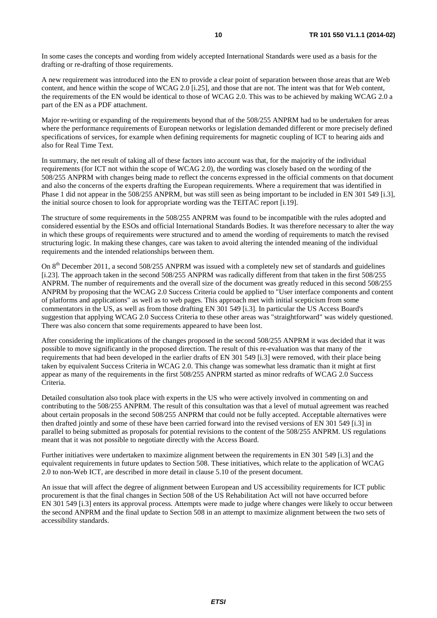In some cases the concepts and wording from widely accepted International Standards were used as a basis for the drafting or re-drafting of those requirements.

A new requirement was introduced into the EN to provide a clear point of separation between those areas that are Web content, and hence within the scope of WCAG 2.0 [i.25], and those that are not. The intent was that for Web content, the requirements of the EN would be identical to those of WCAG 2.0. This was to be achieved by making WCAG 2.0 a part of the EN as a PDF attachment.

Major re-writing or expanding of the requirements beyond that of the 508/255 ANPRM had to be undertaken for areas where the performance requirements of European networks or legislation demanded different or more precisely defined specifications of services, for example when defining requirements for magnetic coupling of ICT to hearing aids and also for Real Time Text.

In summary, the net result of taking all of these factors into account was that, for the majority of the individual requirements (for ICT not within the scope of WCAG 2.0), the wording was closely based on the wording of the 508/255 ANPRM with changes being made to reflect the concerns expressed in the official comments on that document and also the concerns of the experts drafting the European requirements. Where a requirement that was identified in Phase 1 did not appear in the 508/255 ANPRM, but was still seen as being important to be included in EN 301 549 [i.3], the initial source chosen to look for appropriate wording was the TEITAC report [i.19].

The structure of some requirements in the 508/255 ANPRM was found to be incompatible with the rules adopted and considered essential by the ESOs and official International Standards Bodies. It was therefore necessary to alter the way in which these groups of requirements were structured and to amend the wording of requirements to match the revised structuring logic. In making these changes, care was taken to avoid altering the intended meaning of the individual requirements and the intended relationships between them.

On 8<sup>th</sup> December 2011, a second 508/255 ANPRM was issued with a completely new set of standards and guidelines [i.23]. The approach taken in the second 508/255 ANPRM was radically different from that taken in the first 508/255 ANPRM. The number of requirements and the overall size of the document was greatly reduced in this second 508/255 ANPRM by proposing that the WCAG 2.0 Success Criteria could be applied to "User interface components and content of platforms and applications" as well as to web pages. This approach met with initial scepticism from some commentators in the US, as well as from those drafting EN 301 549 [i.3]. In particular the US Access Board's suggestion that applying WCAG 2.0 Success Criteria to these other areas was "straightforward" was widely questioned. There was also concern that some requirements appeared to have been lost.

After considering the implications of the changes proposed in the second 508/255 ANPRM it was decided that it was possible to move significantly in the proposed direction. The result of this re-evaluation was that many of the requirements that had been developed in the earlier drafts of EN 301 549 [i.3] were removed, with their place being taken by equivalent Success Criteria in WCAG 2.0. This change was somewhat less dramatic than it might at first appear as many of the requirements in the first 508/255 ANPRM started as minor redrafts of WCAG 2.0 Success Criteria.

Detailed consultation also took place with experts in the US who were actively involved in commenting on and contributing to the 508/255 ANPRM. The result of this consultation was that a level of mutual agreement was reached about certain proposals in the second 508/255 ANPRM that could not be fully accepted. Acceptable alternatives were then drafted jointly and some of these have been carried forward into the revised versions of EN 301 549 [i.3] in parallel to being submitted as proposals for potential revisions to the content of the 508/255 ANPRM. US regulations meant that it was not possible to negotiate directly with the Access Board.

Further initiatives were undertaken to maximize alignment between the requirements in EN 301 549 [i.3] and the equivalent requirements in future updates to Section 508. These initiatives, which relate to the application of WCAG 2.0 to non-Web ICT, are described in more detail in clause 5.10 of the present document.

An issue that will affect the degree of alignment between European and US accessibility requirements for ICT public procurement is that the final changes in Section 508 of the US Rehabilitation Act will not have occurred before EN 301 549 [i.3] enters its approval process. Attempts were made to judge where changes were likely to occur between the second ANPRM and the final update to Section 508 in an attempt to maximize alignment between the two sets of accessibility standards.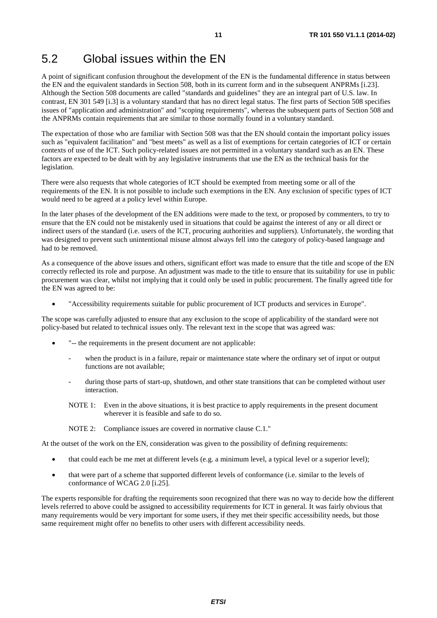#### <span id="page-10-0"></span>5.2 Global issues within the EN

A point of significant confusion throughout the development of the EN is the fundamental difference in status between the EN and the equivalent standards in Section 508, both in its current form and in the subsequent ANPRMs [i.23]. Although the Section 508 documents are called "standards and guidelines" they are an integral part of U.S. law. In contrast, EN 301 549 [i.3] is a voluntary standard that has no direct legal status. The first parts of Section 508 specifies issues of "application and administration" and "scoping requirements", whereas the subsequent parts of Section 508 and the ANPRMs contain requirements that are similar to those normally found in a voluntary standard.

The expectation of those who are familiar with Section 508 was that the EN should contain the important policy issues such as "equivalent facilitation" and "best meets" as well as a list of exemptions for certain categories of ICT or certain contexts of use of the ICT. Such policy-related issues are not permitted in a voluntary standard such as an EN. These factors are expected to be dealt with by any legislative instruments that use the EN as the technical basis for the legislation.

There were also requests that whole categories of ICT should be exempted from meeting some or all of the requirements of the EN. It is not possible to include such exemptions in the EN. Any exclusion of specific types of ICT would need to be agreed at a policy level within Europe.

In the later phases of the development of the EN additions were made to the text, or proposed by commenters, to try to ensure that the EN could not be mistakenly used in situations that could be against the interest of any or all direct or indirect users of the standard (i.e. users of the ICT, procuring authorities and suppliers). Unfortunately, the wording that was designed to prevent such unintentional misuse almost always fell into the category of policy-based language and had to be removed.

As a consequence of the above issues and others, significant effort was made to ensure that the title and scope of the EN correctly reflected its role and purpose. An adjustment was made to the title to ensure that its suitability for use in public procurement was clear, whilst not implying that it could only be used in public procurement. The finally agreed title for the EN was agreed to be:

• "Accessibility requirements suitable for public procurement of ICT products and services in Europe".

The scope was carefully adjusted to ensure that any exclusion to the scope of applicability of the standard were not policy-based but related to technical issues only. The relevant text in the scope that was agreed was:

- "-- the requirements in the present document are not applicable:
	- when the product is in a failure, repair or maintenance state where the ordinary set of input or output functions are not available;
	- during those parts of start-up, shutdown, and other state transitions that can be completed without user interaction.
	- NOTE 1: Even in the above situations, it is best practice to apply requirements in the present document wherever it is feasible and safe to do so.

At the outset of the work on the EN, consideration was given to the possibility of defining requirements:

- that could each be me met at different levels (e.g. a minimum level, a typical level or a superior level);
- that were part of a scheme that supported different levels of conformance (i.e. similar to the levels of conformance of WCAG 2.0 [i.25].

The experts responsible for drafting the requirements soon recognized that there was no way to decide how the different levels referred to above could be assigned to accessibility requirements for ICT in general. It was fairly obvious that many requirements would be very important for some users, if they met their specific accessibility needs, but those same requirement might offer no benefits to other users with different accessibility needs.

NOTE 2: Compliance issues are covered in normative clause C.1."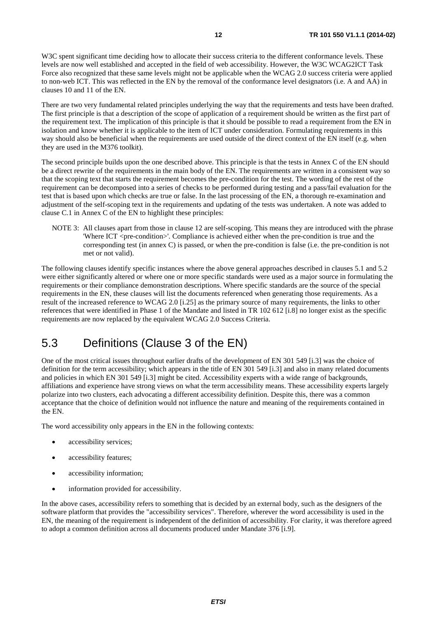W3C spent significant time deciding how to allocate their success criteria to the different conformance levels. These levels are now well established and accepted in the field of web accessibility. However, the W3C WCAG2ICT Task Force also recognized that these same levels might not be applicable when the WCAG 2.0 success criteria were applied to non-web ICT. This was reflected in the EN by the removal of the conformance level designators (i.e. A and AA) in clauses 10 and 11 of the EN.

There are two very fundamental related principles underlying the way that the requirements and tests have been drafted. The first principle is that a description of the scope of application of a requirement should be written as the first part of the requirement text. The implication of this principle is that it should be possible to read a requirement from the EN in isolation and know whether it is applicable to the item of ICT under consideration. Formulating requirements in this way should also be beneficial when the requirements are used outside of the direct context of the EN itself (e.g. when they are used in the M376 toolkit).

The second principle builds upon the one described above. This principle is that the tests in Annex C of the EN should be a direct rewrite of the requirements in the main body of the EN. The requirements are written in a consistent way so that the scoping text that starts the requirement becomes the pre-condition for the test. The wording of the rest of the requirement can be decomposed into a series of checks to be performed during testing and a pass/fail evaluation for the test that is based upon which checks are true or false. In the last processing of the EN, a thorough re-examination and adjustment of the self-scoping text in the requirements and updating of the tests was undertaken. A note was added to clause C.1 in Annex C of the EN to highlight these principles:

NOTE 3: All clauses apart from those in clause 12 are self-scoping. This means they are introduced with the phrase 'Where ICT <pre-condition>'. Compliance is achieved either when the pre-condition is true and the corresponding test (in annex C) is passed, or when the pre-condition is false (i.e. the pre-condition is not met or not valid).

The following clauses identify specific instances where the above general approaches described in clauses 5.1 and 5.2 were either significantly altered or where one or more specific standards were used as a major source in formulating the requirements or their compliance demonstration descriptions. Where specific standards are the source of the special requirements in the EN, these clauses will list the documents referenced when generating those requirements. As a result of the increased reference to WCAG 2.0 [i.25] as the primary source of many requirements, the links to other references that were identified in Phase 1 of the Mandate and listed in TR 102 612 [i.8] no longer exist as the specific requirements are now replaced by the equivalent WCAG 2.0 Success Criteria.

### <span id="page-11-0"></span>5.3 Definitions (Clause 3 of the EN)

One of the most critical issues throughout earlier drafts of the development of EN 301 549 [i.3] was the choice of definition for the term accessibility; which appears in the title of EN 301 549 [i.3] and also in many related documents and policies in which EN 301 549 [i.3] might be cited. Accessibility experts with a wide range of backgrounds, affiliations and experience have strong views on what the term accessibility means. These accessibility experts largely polarize into two clusters, each advocating a different accessibility definition. Despite this, there was a common acceptance that the choice of definition would not influence the nature and meaning of the requirements contained in the EN.

The word accessibility only appears in the EN in the following contexts:

- accessibility services;
- accessibility features;
- accessibility information;
- information provided for accessibility.

In the above cases, accessibility refers to something that is decided by an external body, such as the designers of the software platform that provides the "accessibility services". Therefore, wherever the word accessibility is used in the EN, the meaning of the requirement is independent of the definition of accessibility. For clarity, it was therefore agreed to adopt a common definition across all documents produced under Mandate 376 [i.9].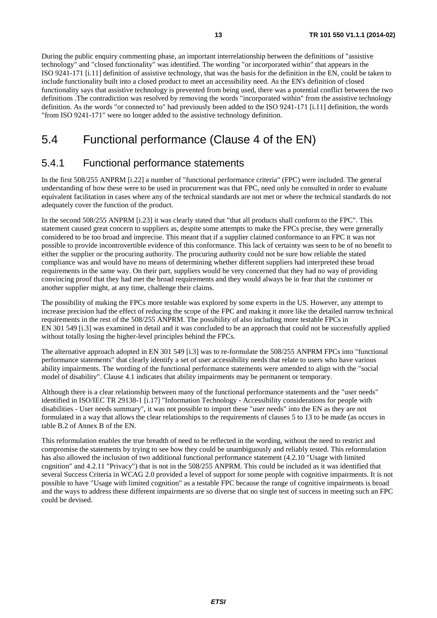During the public enquiry commenting phase, an important interrelationship between the definitions of "assistive technology" and "closed functionality" was identified. The wording "or incorporated within" that appears in the ISO 9241-171 [\[i.11\]](#page-6-1) definition of assistive technology, that was the basis for the definition in the EN, could be taken to include functionality built into a closed product to meet an accessibility need. As the EN's definition of closed functionality says that assistive technology is prevented from being used, there was a potential conflict between the two definitions .The contradiction was resolved by removing the words "incorporated within" from the assistive technology definition. As the words "or connected to" had previously been added to the ISO 9241-171 [i.11] definition, the words "from ISO 9241-171" were no longer added to the assistive technology definition.

### <span id="page-12-0"></span>5.4 Functional performance (Clause 4 of the EN)

#### <span id="page-12-1"></span>5.4.1 Functional performance statements

In the first 508/255 ANPRM [i.22] a number of "functional performance criteria" (FPC) were included. The general understanding of how these were to be used in procurement was that FPC, need only be consulted in order to evaluate equivalent facilitation in cases where any of the technical standards are not met or where the technical standards do not adequately cover the function of the product.

In the second 508/255 ANPRM [i.23] it was clearly stated that "that all products shall conform to the FPC". This statement caused great concern to suppliers as, despite some attempts to make the FPCs precise, they were generally considered to be too broad and imprecise. This meant that if a supplier claimed conformance to an FPC it was not possible to provide incontrovertible evidence of this conformance. This lack of certainty was seen to be of no benefit to either the supplier or the procuring authority. The procuring authority could not be sure how reliable the stated compliance was and would have no means of determining whether different suppliers had interpreted these broad requirements in the same way. On their part, suppliers would be very concerned that they had no way of providing convincing proof that they had met the broad requirements and they would always be in fear that the customer or another supplier might, at any time, challenge their claims.

The possibility of making the FPCs more testable was explored by some experts in the US. However, any attempt to increase precision had the effect of reducing the scope of the FPC and making it more like the detailed narrow technical requirements in the rest of the 508/255 ANPRM. The possibility of also including more testable FPCs in EN 301 549 [i.3] was examined in detail and it was concluded to be an approach that could not be successfully applied without totally losing the higher-level principles behind the FPCs.

The alternative approach adopted in EN 301 549 [i.3] was to re-formulate the 508/255 ANPRM FPCs into "functional performance statements" that clearly identify a set of user accessibility needs that relate to users who have various ability impairments. The wording of the functional performance statements were amended to align with the "social model of disability". Clause 4.1 indicates that ability impairments may be permanent or temporary.

Although there is a clear relationship between many of the functional performance statements and the "user needs" identified in ISO/IEC TR 29138-1 [i.17] "Information Technology - Accessibility considerations for people with disabilities - User needs summary", it was not possible to import these "user needs" into the EN as they are not formulated in a way that allows the clear relationships to the requirements of clauses 5 to 13 to be made (as occurs in table B.2 of Annex B of the EN.

This reformulation enables the true breadth of need to be reflected in the wording, without the need to restrict and compromise the statements by trying to see how they could be unambiguously and reliably tested. This reformulation has also allowed the inclusion of two additional functional performance statement (4.2.10 "Usage with limited cognition" and 4.2.11 "Privacy") that is not in the 508/255 ANPRM. This could be included as it was identified that several Success Criteria in WCAG 2.0 provided a level of support for some people with cognitive impairments. It is not possible to have "Usage with limited cognition" as a testable FPC because the range of cognitive impairments is broad and the ways to address these different impairments are so diverse that no single test of success in meeting such an FPC could be devised.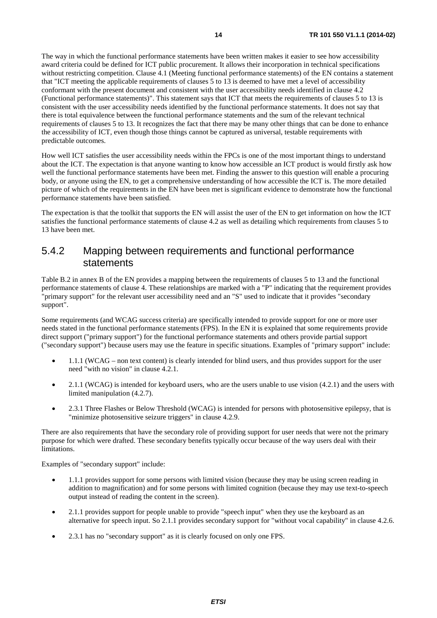The way in which the functional performance statements have been written makes it easier to see how accessibility award criteria could be defined for ICT public procurement. It allows their incorporation in technical specifications without restricting competition. Clause 4.1 (Meeting functional performance statements) of the EN contains a statement that "ICT meeting the applicable requirements of clauses 5 to 13 is deemed to have met a level of accessibility conformant with the present document and consistent with the user accessibility needs identified in clause 4.2 (Functional performance statements)". This statement says that ICT that meets the requirements of clauses 5 to 13 is consistent with the user accessibility needs identified by the functional performance statements. It does not say that there is total equivalence between the functional performance statements and the sum of the relevant technical requirements of clauses 5 to 13. It recognizes the fact that there may be many other things that can be done to enhance the accessibility of ICT, even though those things cannot be captured as universal, testable requirements with predictable outcomes.

How well ICT satisfies the user accessibility needs within the FPCs is one of the most important things to understand about the ICT. The expectation is that anyone wanting to know how accessible an ICT product is would firstly ask how well the functional performance statements have been met. Finding the answer to this question will enable a procuring body, or anyone using the EN, to get a comprehensive understanding of how accessible the ICT is. The more detailed picture of which of the requirements in the EN have been met is significant evidence to demonstrate how the functional performance statements have been satisfied.

The expectation is that the toolkit that supports the EN will assist the user of the EN to get information on how the ICT satisfies the functional performance statements of clause 4.2 as well as detailing which requirements from clauses 5 to 13 have been met.

#### <span id="page-13-0"></span>5.4.2 Mapping between requirements and functional performance statements

Table B.2 in annex B of the EN provides a mapping between the requirements of clauses 5 to 13 and the functional performance statements of clause 4. These relationships are marked with a "P" indicating that the requirement provides "primary support" for the relevant user accessibility need and an "S" used to indicate that it provides "secondary support".

Some requirements (and WCAG success criteria) are specifically intended to provide support for one or more user needs stated in the functional performance statements (FPS). In the EN it is explained that some requirements provide direct support ("primary support") for the functional performance statements and others provide partial support ("secondary support") because users may use the feature in specific situations. Examples of "primary support" include:

- 1.1.1 (WCAG non text content) is clearly intended for blind users, and thus provides support for the user need "with no vision" in clause 4.2.1.
- 2.1.1 (WCAG) is intended for keyboard users, who are the users unable to use vision  $(4.2.1)$  and the users with limited manipulation (4.2.7).
- 2.3.1 Three Flashes or Below Threshold (WCAG) is intended for persons with photosensitive epilepsy, that is "minimize photosensitive seizure triggers" in clause 4.2.9.

There are also requirements that have the secondary role of providing support for user needs that were not the primary purpose for which were drafted. These secondary benefits typically occur because of the way users deal with their limitations.

Examples of "secondary support" include:

- 1.1.1 provides support for some persons with limited vision (because they may be using screen reading in addition to magnification) and for some persons with limited cognition (because they may use text-to-speech output instead of reading the content in the screen).
- 2.1.1 provides support for people unable to provide "speech input" when they use the keyboard as an alternative for speech input. So 2.1.1 provides secondary support for "without vocal capability" in clause 4.2.6.
- 2.3.1 has no "secondary support" as it is clearly focused on only one FPS.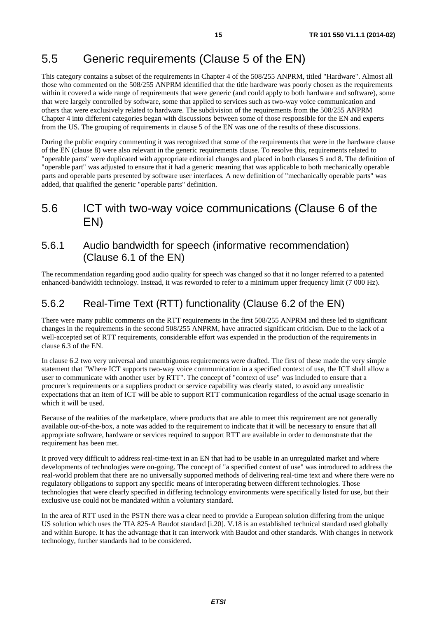### <span id="page-14-0"></span>5.5 Generic requirements (Clause 5 of the EN)

This category contains a subset of the requirements in Chapter 4 of the 508/255 ANPRM, titled "Hardware". Almost all those who commented on the 508/255 ANPRM identified that the title hardware was poorly chosen as the requirements within it covered a wide range of requirements that were generic (and could apply to both hardware and software), some that were largely controlled by software, some that applied to services such as two-way voice communication and others that were exclusively related to hardware. The subdivision of the requirements from the 508/255 ANPRM Chapter 4 into different categories began with discussions between some of those responsible for the EN and experts from the US. The grouping of requirements in clause 5 of the EN was one of the results of these discussions.

During the public enquiry commenting it was recognized that some of the requirements that were in the hardware clause of the EN (clause 8) were also relevant in the generic requirements clause. To resolve this, requirements related to "operable parts" were duplicated with appropriate editorial changes and placed in both clauses 5 and 8. The definition of "operable part" was adjusted to ensure that it had a generic meaning that was applicable to both mechanically operable parts and operable parts presented by software user interfaces. A new definition of "mechanically operable parts" was added, that qualified the generic "operable parts" definition.

#### <span id="page-14-1"></span>5.6 ICT with two-way voice communications (Clause 6 of the EN)

#### <span id="page-14-2"></span>5.6.1 Audio bandwidth for speech (informative recommendation) (Clause 6.1 of the EN)

The recommendation regarding good audio quality for speech was changed so that it no longer referred to a patented enhanced-bandwidth technology. Instead, it was reworded to refer to a minimum upper frequency limit (7 000 Hz).

#### <span id="page-14-3"></span>5.6.2 Real-Time Text (RTT) functionality (Clause 6.2 of the EN)

There were many public comments on the RTT requirements in the first 508/255 ANPRM and these led to significant changes in the requirements in the second 508/255 ANPRM, have attracted significant criticism. Due to the lack of a well-accepted set of RTT requirements, considerable effort was expended in the production of the requirements in clause 6.3 of the EN.

In clause 6.2 two very universal and unambiguous requirements were drafted. The first of these made the very simple statement that "Where ICT supports two-way voice communication in a specified context of use, the ICT shall allow a user to communicate with another user by RTT". The concept of "context of use" was included to ensure that a procurer's requirements or a suppliers product or service capability was clearly stated, to avoid any unrealistic expectations that an item of ICT will be able to support RTT communication regardless of the actual usage scenario in which it will be used.

Because of the realities of the marketplace, where products that are able to meet this requirement are not generally available out-of-the-box, a note was added to the requirement to indicate that it will be necessary to ensure that all appropriate software, hardware or services required to support RTT are available in order to demonstrate that the requirement has been met.

It proved very difficult to address real-time-text in an EN that had to be usable in an unregulated market and where developments of technologies were on-going. The concept of "a specified context of use" was introduced to address the real-world problem that there are no universally supported methods of delivering real-time text and where there were no regulatory obligations to support any specific means of interoperating between different technologies. Those technologies that were clearly specified in differing technology environments were specifically listed for use, but their exclusive use could not be mandated within a voluntary standard.

In the area of RTT used in the PSTN there was a clear need to provide a European solution differing from the unique US solution which uses the TIA 825-A Baudot standard [i.20]. V.18 is an established technical standard used globally and within Europe. It has the advantage that it can interwork with Baudot and other standards. With changes in network technology, further standards had to be considered.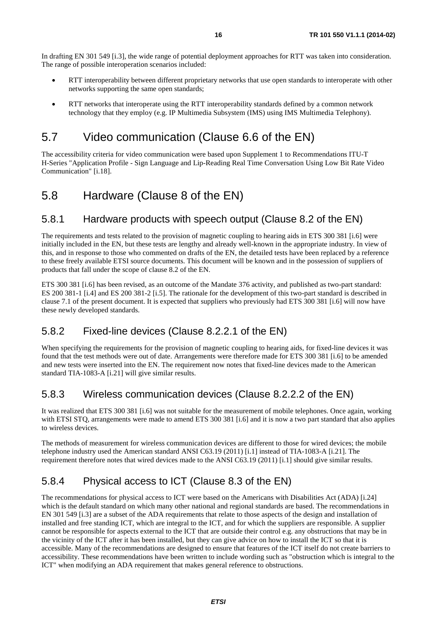- RTT interoperability between different proprietary networks that use open standards to interoperate with other networks supporting the same open standards;
- RTT networks that interoperate using the RTT interoperability standards defined by a common network technology that they employ (e.g. IP Multimedia Subsystem (IMS) using IMS Multimedia Telephony).

### <span id="page-15-0"></span>5.7 Video communication (Clause 6.6 of the EN)

The accessibility criteria for video communication were based upon Supplement 1 to Recommendations ITU-T H-Series "Application Profile - Sign Language and Lip-Reading Real Time Conversation Using Low Bit Rate Video Communication" [i.18].

### <span id="page-15-1"></span>5.8 Hardware (Clause 8 of the EN)

#### <span id="page-15-2"></span>5.8.1 Hardware products with speech output (Clause 8.2 of the EN)

The requirements and tests related to the provision of magnetic coupling to hearing aids in ETS 300 381 [i.6] were initially included in the EN, but these tests are lengthy and already well-known in the appropriate industry. In view of this, and in response to those who commented on drafts of the EN, the detailed tests have been replaced by a reference to these freely available ETSI source documents. This document will be known and in the possession of suppliers of products that fall under the scope of clause 8.2 of the EN.

ETS 300 381 [i.6] has been revised, as an outcome of the Mandate 376 activity, and published as two-part standard: ES 200 381-1 [i.4] and ES 200 381-2 [i.5]. The rationale for the development of this two-part standard is described in clause 7.1 of the present document. It is expected that suppliers who previously had ETS 300 381 [i.6] will now have these newly developed standards.

#### <span id="page-15-3"></span>5.8.2 Fixed-line devices (Clause 8.2.2.1 of the EN)

When specifying the requirements for the provision of magnetic coupling to hearing aids, for fixed-line devices it was found that the test methods were out of date. Arrangements were therefore made for ETS 300 381 [i.6] to be amended and new tests were inserted into the EN. The requirement now notes that fixed-line devices made to the American standard TIA-1083-A [i.21] will give similar results.

#### <span id="page-15-4"></span>5.8.3 Wireless communication devices (Clause 8.2.2.2 of the EN)

It was realized that ETS 300 381 [i.6] was not suitable for the measurement of mobile telephones. Once again, working with ETSI STQ, arrangements were made to amend ETS 300 381 [i.6] and it is now a two part standard that also applies to wireless devices.

The methods of measurement for wireless communication devices are different to those for wired devices; the mobile telephone industry used the American standard ANSI C63.19 (2011) [i.1] instead of TIA-1083-A [i.21]. The requirement therefore notes that wired devices made to the ANSI C63.19 (2011) [i.1] should give similar results.

### <span id="page-15-5"></span>5.8.4 Physical access to ICT (Clause 8.3 of the EN)

The recommendations for physical access to ICT were based on the Americans with Disabilities Act (ADA) [i.24] which is the default standard on which many other national and regional standards are based. The recommendations in EN 301 549 [i.3] are a subset of the ADA requirements that relate to those aspects of the design and installation of installed and free standing ICT, which are integral to the ICT, and for which the suppliers are responsible. A supplier cannot be responsible for aspects external to the ICT that are outside their control e.g. any obstructions that may be in the vicinity of the ICT after it has been installed, but they can give advice on how to install the ICT so that it is accessible. Many of the recommendations are designed to ensure that features of the ICT itself do not create barriers to accessibility. These recommendations have been written to include wording such as "obstruction which is integral to the ICT" when modifying an ADA requirement that makes general reference to obstructions.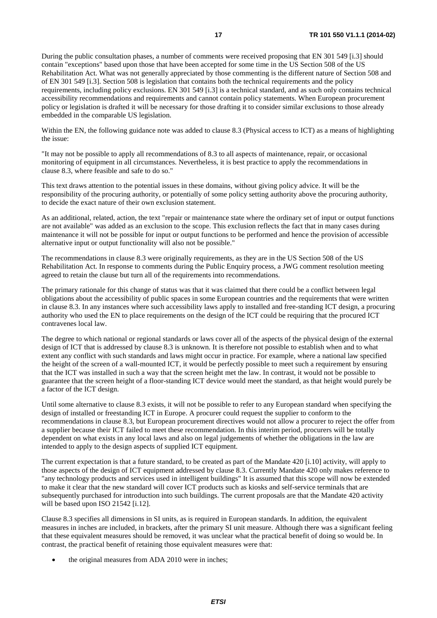During the public consultation phases, a number of comments were received proposing that EN 301 549 [i.3] should contain "exceptions" based upon those that have been accepted for some time in the US Section 508 of the US Rehabilitation Act. What was not generally appreciated by those commenting is the different nature of Section 508 and of EN 301 549 [i.3]. Section 508 is legislation that contains both the technical requirements and the policy requirements, including policy exclusions. EN 301 549 [i.3] is a technical standard, and as such only contains technical accessibility recommendations and requirements and cannot contain policy statements. When European procurement policy or legislation is drafted it will be necessary for those drafting it to consider similar exclusions to those already embedded in the comparable US legislation.

Within the EN, the following guidance note was added to clause 8.3 (Physical access to ICT) as a means of highlighting the issue:

"It may not be possible to apply all recommendations of 8.3 to all aspects of maintenance, repair, or occasional monitoring of equipment in all circumstances. Nevertheless, it is best practice to apply the recommendations in clause 8.3, where feasible and safe to do so."

This text draws attention to the potential issues in these domains, without giving policy advice. It will be the responsibility of the procuring authority, or potentially of some policy setting authority above the procuring authority, to decide the exact nature of their own exclusion statement.

As an additional, related, action, the text "repair or maintenance state where the ordinary set of input or output functions are not available" was added as an exclusion to the scope. This exclusion reflects the fact that in many cases during maintenance it will not be possible for input or output functions to be performed and hence the provision of accessible alternative input or output functionality will also not be possible."

The recommendations in clause 8.3 were originally requirements, as they are in the US Section 508 of the US Rehabilitation Act. In response to comments during the Public Enquiry process, a JWG comment resolution meeting agreed to retain the clause but turn all of the requirements into recommendations.

The primary rationale for this change of status was that it was claimed that there could be a conflict between legal obligations about the accessibility of public spaces in some European countries and the requirements that were written in clause 8.3. In any instances where such accessibility laws apply to installed and free-standing ICT design, a procuring authority who used the EN to place requirements on the design of the ICT could be requiring that the procured ICT contravenes local law.

The degree to which national or regional standards or laws cover all of the aspects of the physical design of the external design of ICT that is addressed by clause 8.3 is unknown. It is therefore not possible to establish when and to what extent any conflict with such standards and laws might occur in practice. For example, where a national law specified the height of the screen of a wall-mounted ICT, it would be perfectly possible to meet such a requirement by ensuring that the ICT was installed in such a way that the screen height met the law. In contrast, it would not be possible to guarantee that the screen height of a floor-standing ICT device would meet the standard, as that height would purely be a factor of the ICT design.

Until some alternative to clause 8.3 exists, it will not be possible to refer to any European standard when specifying the design of installed or freestanding ICT in Europe. A procurer could request the supplier to conform to the recommendations in clause 8.3, but European procurement directives would not allow a procurer to reject the offer from a supplier because their ICT failed to meet these recommendation. In this interim period, procurers will be totally dependent on what exists in any local laws and also on legal judgements of whether the obligations in the law are intended to apply to the design aspects of supplied ICT equipment.

The current expectation is that a future standard, to be created as part of the Mandate 420 [i.10] activity, will apply to those aspects of the design of ICT equipment addressed by clause 8.3. Currently Mandate 420 only makes reference to "any technology products and services used in intelligent buildings" It is assumed that this scope will now be extended to make it clear that the new standard will cover ICT products such as kiosks and self-service terminals that are subsequently purchased for introduction into such buildings. The current proposals are that the Mandate 420 activity will be based upon ISO 21542 [i.12].

Clause 8.3 specifies all dimensions in SI units, as is required in European standards. In addition, the equivalent measures in inches are included, in brackets, after the primary SI unit measure. Although there was a significant feeling that these equivalent measures should be removed, it was unclear what the practical benefit of doing so would be. In contrast, the practical benefit of retaining those equivalent measures were that:

the original measures from ADA 2010 were in inches;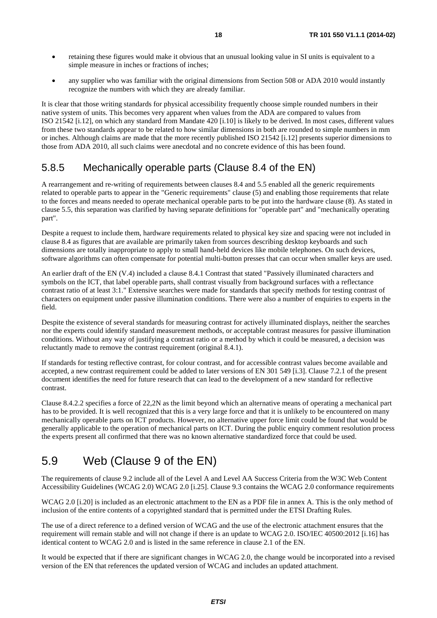- retaining these figures would make it obvious that an unusual looking value in SI units is equivalent to a simple measure in inches or fractions of inches;
- any supplier who was familiar with the original dimensions from Section 508 or ADA 2010 would instantly recognize the numbers with which they are already familiar.

It is clear that those writing standards for physical accessibility frequently choose simple rounded numbers in their native system of units. This becomes very apparent when values from the ADA are compared to values from ISO 21542 [i.12], on which any standard from Mandate 420 [i.10] is likely to be derived. In most cases, different values from these two standards appear to be related to how similar dimensions in both are rounded to simple numbers in mm or inches. Although claims are made that the more recently published ISO 21542 [i.12] presents superior dimensions to those from ADA 2010, all such claims were anecdotal and no concrete evidence of this has been found.

#### <span id="page-17-0"></span>5.8.5 Mechanically operable parts (Clause 8.4 of the EN)

A rearrangement and re-writing of requirements between clauses 8.4 and 5.5 enabled all the generic requirements related to operable parts to appear in the "Generic requirements" clause (5) and enabling those requirements that relate to the forces and means needed to operate mechanical operable parts to be put into the hardware clause (8). As stated in clause 5.5, this separation was clarified by having separate definitions for "operable part" and "mechanically operating part".

Despite a request to include them, hardware requirements related to physical key size and spacing were not included in clause 8.4 as figures that are available are primarily taken from sources describing desktop keyboards and such dimensions are totally inappropriate to apply to small hand-held devices like mobile telephones. On such devices, software algorithms can often compensate for potential multi-button presses that can occur when smaller keys are used.

An earlier draft of the EN (V.4) included a clause 8.4.1 Contrast that stated "Passively illuminated characters and symbols on the ICT, that label operable parts, shall contrast visually from background surfaces with a reflectance contrast ratio of at least 3:1." Extensive searches were made for standards that specify methods for testing contrast of characters on equipment under passive illumination conditions. There were also a number of enquiries to experts in the field.

Despite the existence of several standards for measuring contrast for actively illuminated displays, neither the searches nor the experts could identify standard measurement methods, or acceptable contrast measures for passive illumination conditions. Without any way of justifying a contrast ratio or a method by which it could be measured, a decision was reluctantly made to remove the contrast requirement (original 8.4.1).

If standards for testing reflective contrast, for colour contrast, and for accessible contrast values become available and accepted, a new contrast requirement could be added to later versions of EN 301 549 [i.3]. Clause 7.2.1 of the present document identifies the need for future research that can lead to the development of a new standard for reflective contrast.

Clause 8.4.2.2 specifies a force of 22,2N as the limit beyond which an alternative means of operating a mechanical part has to be provided. It is well recognized that this is a very large force and that it is unlikely to be encountered on many mechanically operable parts on ICT products. However, no alternative upper force limit could be found that would be generally applicable to the operation of mechanical parts on ICT. During the public enquiry comment resolution process the experts present all confirmed that there was no known alternative standardized force that could be used.

### <span id="page-17-1"></span>5.9 Web (Clause 9 of the EN)

The requirements of clause 9.2 include all of the Level A and Level AA Success Criteria from the W3C Web Content Accessibility Guidelines (WCAG 2.0) WCAG 2.0 [i.25]. Clause 9.3 contains the WCAG 2.0 conformance requirements

WCAG 2.0 [i.20] is included as an electronic attachment to the EN as a PDF file in annex A. This is the only method of inclusion of the entire contents of a copyrighted standard that is permitted under the ETSI Drafting Rules.

The use of a direct reference to a defined version of WCAG and the use of the electronic attachment ensures that the requirement will remain stable and will not change if there is an update to WCAG 2.0. ISO/IEC 40500:2012 [i.16] has identical content to WCAG 2.0 and is listed in the same reference in clause 2.1 of the EN.

It would be expected that if there are significant changes in WCAG 2.0, the change would be incorporated into a revised version of the EN that references the updated version of WCAG and includes an updated attachment.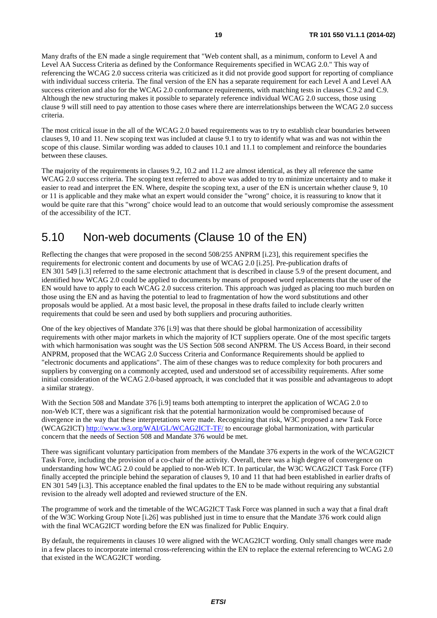Many drafts of the EN made a single requirement that "Web content shall, as a minimum, conform to Level A and Level AA Success Criteria as defined by the Conformance Requirements specified in WCAG 2.0." This way of referencing the WCAG 2.0 success criteria was criticized as it did not provide good support for reporting of compliance with individual success criteria. The final version of the EN has a separate requirement for each Level A and Level AA success criterion and also for the WCAG 2.0 conformance requirements, with matching tests in clauses C.9.2 and C.9. Although the new structuring makes it possible to separately reference individual WCAG 2.0 success, those using clause 9 will still need to pay attention to those cases where there are interrelationships between the WCAG 2.0 success criteria.

The most critical issue in the all of the WCAG 2.0 based requirements was to try to establish clear boundaries between clauses 9, 10 and 11. New scoping text was included at clause 9.1 to try to identify what was and was not within the scope of this clause. Similar wording was added to clauses 10.1 and 11.1 to complement and reinforce the boundaries between these clauses.

The majority of the requirements in clauses 9.2, 10.2 and 11.2 are almost identical, as they all reference the same WCAG 2.0 success criteria. The scoping text referred to above was added to try to minimize uncertainty and to make it easier to read and interpret the EN. Where, despite the scoping text, a user of the EN is uncertain whether clause 9, 10 or 11 is applicable and they make what an expert would consider the "wrong" choice, it is reassuring to know that it would be quite rare that this "wrong" choice would lead to an outcome that would seriously compromise the assessment of the accessibility of the ICT.

### <span id="page-18-0"></span>5.10 Non-web documents (Clause 10 of the EN)

Reflecting the changes that were proposed in the second 508/255 ANPRM [i.23], this requirement specifies the requirements for electronic content and documents by use of WCAG 2.0 [i.25]. Pre-publication drafts of EN 301 549 [i.3] referred to the same electronic attachment that is described in clause 5.9 of the present document, and identified how WCAG 2.0 could be applied to documents by means of proposed word replacements that the user of the EN would have to apply to each WCAG 2.0 success criterion. This approach was judged as placing too much burden on those using the EN and as having the potential to lead to fragmentation of how the word substitutions and other proposals would be applied. At a most basic level, the proposal in these drafts failed to include clearly written requirements that could be seen and used by both suppliers and procuring authorities.

One of the key objectives of Mandate 376 [i.9] was that there should be global harmonization of accessibility requirements with other major markets in which the majority of ICT suppliers operate. One of the most specific targets with which harmonisation was sought was the US Section 508 second ANPRM. The US Access Board, in their second ANPRM, proposed that the WCAG 2.0 Success Criteria and Conformance Requirements should be applied to "electronic documents and applications". The aim of these changes was to reduce complexity for both procurers and suppliers by converging on a commonly accepted, used and understood set of accessibility requirements. After some initial consideration of the WCAG 2.0-based approach, it was concluded that it was possible and advantageous to adopt a similar strategy.

With the Section 508 and Mandate 376 [i.9] teams both attempting to interpret the application of WCAG 2.0 to non-Web ICT, there was a significant risk that the potential harmonization would be compromised because of divergence in the way that these interpretations were made. Recognizing that risk, W3C proposed a new Task Force (WCAG2ICT)<http://www.w3.org/WAI/GL/WCAG2ICT-TF/> to encourage global harmonization, with particular concern that the needs of Section 508 and Mandate 376 would be met.

There was significant voluntary participation from members of the Mandate 376 experts in the work of the WCAG2ICT Task Force, including the provision of a co-chair of the activity. Overall, there was a high degree of convergence on understanding how WCAG 2.0 could be applied to non-Web ICT. In particular, the W3C WCAG2ICT Task Force (TF) finally accepted the principle behind the separation of clauses 9, 10 and 11 that had been established in earlier drafts of EN 301 549 [i.3]. This acceptance enabled the final updates to the EN to be made without requiring any substantial revision to the already well adopted and reviewed structure of the EN.

The programme of work and the timetable of the WCAG2ICT Task Force was planned in such a way that a final draft of the W3C Working Group Note [i.26] was published just in time to ensure that the Mandate 376 work could align with the final WCAG2ICT wording before the EN was finalized for Public Enquiry.

By default, the requirements in clauses 10 were aligned with the WCAG2ICT wording. Only small changes were made in a few places to incorporate internal cross-referencing within the EN to replace the external referencing to WCAG 2.0 that existed in the WCAG2ICT wording.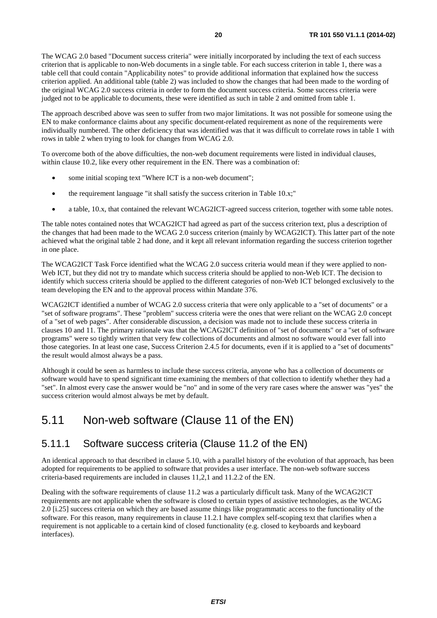The WCAG 2.0 based "Document success criteria" were initially incorporated by including the text of each success criterion that is applicable to non-Web documents in a single table. For each success criterion in table 1, there was a table cell that could contain "Applicability notes" to provide additional information that explained how the success criterion applied. An additional table (table 2) was included to show the changes that had been made to the wording of the original WCAG 2.0 success criteria in order to form the document success criteria. Some success criteria were judged not to be applicable to documents, these were identified as such in table 2 and omitted from table 1.

The approach described above was seen to suffer from two major limitations. It was not possible for someone using the EN to make conformance claims about any specific document-related requirement as none of the requirements were individually numbered. The other deficiency that was identified was that it was difficult to correlate rows in table 1 with rows in table 2 when trying to look for changes from WCAG 2.0.

To overcome both of the above difficulties, the non-web document requirements were listed in individual clauses, within clause 10.2, like every other requirement in the EN. There was a combination of:

- some initial scoping text "Where ICT is a non-web document";
- the requirement language "it shall satisfy the success criterion in Table 10.x;"
- a table, 10.x, that contained the relevant WCAG2ICT-agreed success criterion, together with some table notes.

The table notes contained notes that WCAG2ICT had agreed as part of the success criterion text, plus a description of the changes that had been made to the WCAG 2.0 success criterion (mainly by WCAG2ICT). This latter part of the note achieved what the original table 2 had done, and it kept all relevant information regarding the success criterion together in one place.

The WCAG2ICT Task Force identified what the WCAG 2.0 success criteria would mean if they were applied to non-Web ICT, but they did not try to mandate which success criteria should be applied to non-Web ICT. The decision to identify which success criteria should be applied to the different categories of non-Web ICT belonged exclusively to the team developing the EN and to the approval process within Mandate 376.

WCAG2ICT identified a number of WCAG 2.0 success criteria that were only applicable to a "set of documents" or a "set of software programs". These "problem" success criteria were the ones that were reliant on the WCAG 2.0 concept of a "set of web pages". After considerable discussion, a decision was made not to include these success criteria in clauses 10 and 11. The primary rationale was that the WCAG2ICT definition of "set of documents" or a "set of software programs" were so tightly written that very few collections of documents and almost no software would ever fall into those categories. In at least one case, Success Criterion 2.4.5 for documents, even if it is applied to a "set of documents" the result would almost always be a pass.

Although it could be seen as harmless to include these success criteria, anyone who has a collection of documents or software would have to spend significant time examining the members of that collection to identify whether they had a "set". In almost every case the answer would be "no" and in some of the very rare cases where the answer was "yes" the success criterion would almost always be met by default.

#### <span id="page-19-0"></span>5.11 Non-web software (Clause 11 of the EN)

#### <span id="page-19-1"></span>5.11.1 Software success criteria (Clause 11.2 of the EN)

An identical approach to that described in clause 5.10, with a parallel history of the evolution of that approach, has been adopted for requirements to be applied to software that provides a user interface. The non-web software success criteria-based requirements are included in clauses 11,2,1 and 11.2.2 of the EN.

Dealing with the software requirements of clause 11.2 was a particularly difficult task. Many of the WCAG2ICT requirements are not applicable when the software is closed to certain types of assistive technologies, as the WCAG 2.0 [i.25] success criteria on which they are based assume things like programmatic access to the functionality of the software. For this reason, many requirements in clause 11.2.1 have complex self-scoping text that clarifies when a requirement is not applicable to a certain kind of closed functionality (e.g. closed to keyboards and keyboard interfaces).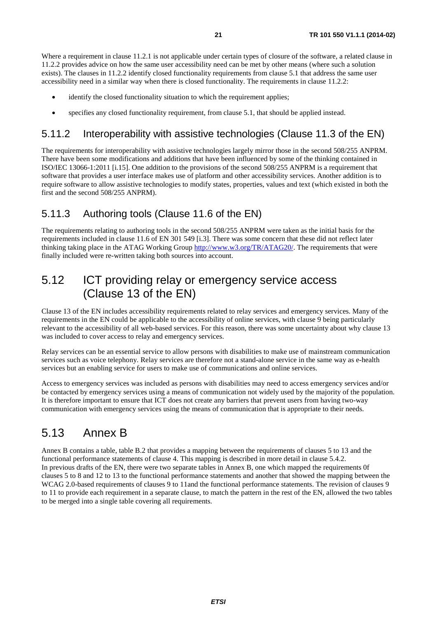Where a requirement in clause 11.2.1 is not applicable under certain types of closure of the software, a related clause in 11.2.2 provides advice on how the same user accessibility need can be met by other means (where such a solution exists). The clauses in 11.2.2 identify closed functionality requirements from clause 5.1 that address the same user accessibility need in a similar way when there is closed functionality. The requirements in clause 11.2.2:

- identify the closed functionality situation to which the requirement applies;
- specifies any closed functionality requirement, from clause 5.1, that should be applied instead.

#### <span id="page-20-0"></span>5.11.2 Interoperability with assistive technologies (Clause 11.3 of the EN)

The requirements for interoperability with assistive technologies largely mirror those in the second 508/255 ANPRM. There have been some modifications and additions that have been influenced by some of the thinking contained in ISO/IEC 13066-1:2011 [i.15]. One addition to the provisions of the second 508/255 ANPRM is a requirement that software that provides a user interface makes use of platform and other accessibility services. Another addition is to require software to allow assistive technologies to modify states, properties, values and text (which existed in both the first and the second 508/255 ANPRM).

#### <span id="page-20-1"></span>5.11.3 Authoring tools (Clause 11.6 of the EN)

The requirements relating to authoring tools in the second 508/255 ANPRM were taken as the initial basis for the requirements included in clause 11.6 of EN 301 549 [i.3]. There was some concern that these did not reflect later thinking taking place in the ATAG Working Group [http://www.w3.org/TR/ATAG20/.](http://www.w3.org/TR/ATAG20/) The requirements that were finally included were re-written taking both sources into account.

#### <span id="page-20-2"></span>5.12 ICT providing relay or emergency service access (Clause 13 of the EN)

Clause 13 of the EN includes accessibility requirements related to relay services and emergency services. Many of the requirements in the EN could be applicable to the accessibility of online services, with clause 9 being particularly relevant to the accessibility of all web-based services. For this reason, there was some uncertainty about why clause 13 was included to cover access to relay and emergency services.

Relay services can be an essential service to allow persons with disabilities to make use of mainstream communication services such as voice telephony. Relay services are therefore not a stand-alone service in the same way as e-health services but an enabling service for users to make use of communications and online services.

Access to emergency services was included as persons with disabilities may need to access emergency services and/or be contacted by emergency services using a means of communication not widely used by the majority of the population. It is therefore important to ensure that ICT does not create any barriers that prevent users from having two-way communication with emergency services using the means of communication that is appropriate to their needs.

### <span id="page-20-3"></span>5.13 Annex B

Annex B contains a table, table B.2 that provides a mapping between the requirements of clauses 5 to 13 and the functional performance statements of clause 4. This mapping is described in more detail in clause 5.4.2. In previous drafts of the EN, there were two separate tables in Annex B, one which mapped the requirements 0f clauses 5 to 8 and 12 to 13 to the functional performance statements and another that showed the mapping between the WCAG 2.0-based requirements of clauses 9 to 11and the functional performance statements. The revision of clauses 9 to 11 to provide each requirement in a separate clause, to match the pattern in the rest of the EN, allowed the two tables to be merged into a single table covering all requirements.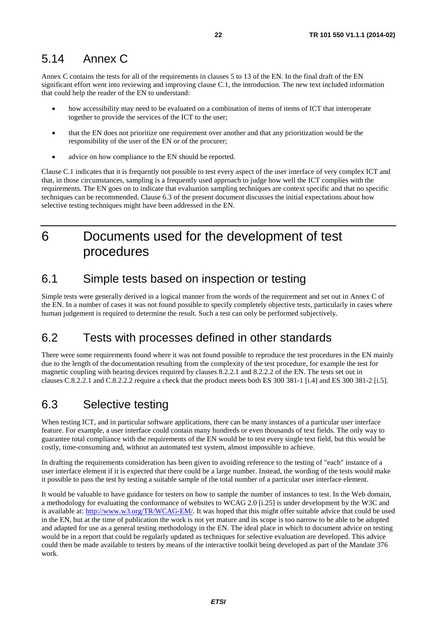#### <span id="page-21-0"></span>5.14 Annex C

Annex C contains the tests for all of the requirements in clauses 5 to 13 of the EN. In the final draft of the EN significant effort went into reviewing and improving clause C.1, the introduction. The new text included information that could help the reader of the EN to understand:

- how accessibility may need to be evaluated on a combination of items of items of ICT that interoperate together to provide the services of the ICT to the user;
- that the EN does not prioritize one requirement over another and that any prioritization would be the responsibility of the user of the EN or of the procurer;
- advice on how compliance to the EN should be reported.

Clause C.1 indicates that it is frequently not possible to test every aspect of the user interface of very complex ICT and that, in those circumstances, sampling is a frequently used approach to judge how well the ICT complies with the requirements. The EN goes on to indicate that evaluation sampling techniques are context specific and that no specific techniques can be recommended. Clause 6.3 of the present document discusses the initial expectations about how selective testing techniques might have been addressed in the EN.

### <span id="page-21-1"></span>6 Documents used for the development of test procedures

#### <span id="page-21-2"></span>6.1 Simple tests based on inspection or testing

Simple tests were generally derived in a logical manner from the words of the requirement and set out in Annex C of the EN. In a number of cases it was not found possible to specify completely objective tests, particularly in cases where human judgement is required to determine the result. Such a test can only be performed subjectively.

### <span id="page-21-3"></span>6.2 Tests with processes defined in other standards

There were some requirements found where it was not found possible to reproduce the test procedures in the EN mainly due to the length of the documentation resulting from the complexity of the test procedure, for example the test for magnetic coupling with hearing devices required by clauses 8.2.2.1 and 8.2.2.2 of the EN. The tests set out in clauses C.8.2.2.1 and C.8.2.2.2 require a check that the product meets both ES 300 381-1 [i.4] and ES 300 381-2 [i.5].

### <span id="page-21-4"></span>6.3 Selective testing

When testing ICT, and in particular software applications, there can be many instances of a particular user interface feature. For example, a user interface could contain many hundreds or even thousands of text fields. The only way to guarantee total compliance with the requirements of the EN would be to test every single text field, but this would be costly, time-consuming and, without an automated test system, almost impossible to achieve.

In drafting the requirements consideration has been given to avoiding reference to the testing of "each" instance of a user interface element if it is expected that there could be a large number. Instead, the wording of the tests would make it possible to pass the test by testing a suitable sample of the total number of a particular user interface element.

It would be valuable to have guidance for testers on how to sample the number of instances to test. In the Web domain, a methodology for evaluating the conformance of websites to WCAG 2.0 [i.25] is under development by the W3C and is available at: [http://www.w3.org/TR/WCAG-EM/.](http://www.w3.org/TR/WCAG-EM/) It was hoped that this might offer suitable advice that could be used in the EN, but at the time of publication the work is not yet mature and its scope is too narrow to be able to be adopted and adapted for use as a general testing methodology in the EN. The ideal place in which to document advice on testing would be in a report that could be regularly updated as techniques for selective evaluation are developed. This advice could then be made available to testers by means of the interactive toolkit being developed as part of the Mandate 376 work.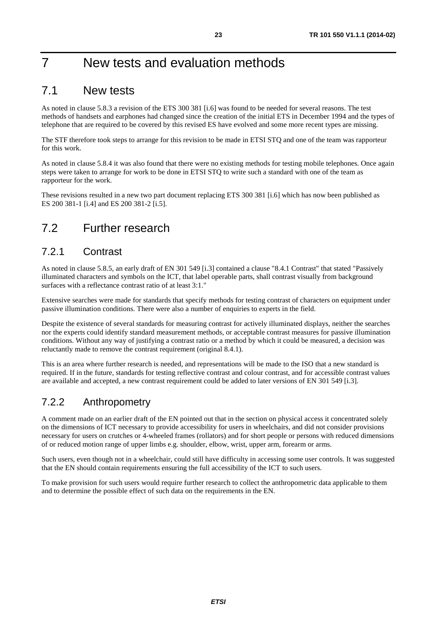### <span id="page-22-0"></span>7 New tests and evaluation methods

#### <span id="page-22-1"></span>7.1 New tests

As noted in clause 5.8.3 a revision of the ETS 300 381 [i.6] was found to be needed for several reasons. The test methods of handsets and earphones had changed since the creation of the initial ETS in December 1994 and the types of telephone that are required to be covered by this revised ES have evolved and some more recent types are missing.

The STF therefore took steps to arrange for this revision to be made in ETSI STQ and one of the team was rapporteur for this work.

As noted in clause 5.8.4 it was also found that there were no existing methods for testing mobile telephones. Once again steps were taken to arrange for work to be done in ETSI STQ to write such a standard with one of the team as rapporteur for the work.

These revisions resulted in a new two part document replacing ETS 300 381 [i.6] which has now been published as ES 200 381-1 [i.4] and ES 200 381-2 [i.5].

### <span id="page-22-2"></span>7.2 Further research

#### <span id="page-22-3"></span>7.2.1 Contrast

As noted in clause 5.8.5, an early draft of EN 301 549 [i.3] contained a clause "8.4.1 Contrast" that stated "Passively illuminated characters and symbols on the ICT, that label operable parts, shall contrast visually from background surfaces with a reflectance contrast ratio of at least 3:1."

Extensive searches were made for standards that specify methods for testing contrast of characters on equipment under passive illumination conditions. There were also a number of enquiries to experts in the field.

Despite the existence of several standards for measuring contrast for actively illuminated displays, neither the searches nor the experts could identify standard measurement methods, or acceptable contrast measures for passive illumination conditions. Without any way of justifying a contrast ratio or a method by which it could be measured, a decision was reluctantly made to remove the contrast requirement (original 8.4.1).

This is an area where further research is needed, and representations will be made to the ISO that a new standard is required. If in the future, standards for testing reflective contrast and colour contrast, and for accessible contrast values are available and accepted, a new contrast requirement could be added to later versions of EN 301 549 [i.3].

#### <span id="page-22-4"></span>7.2.2 Anthropometry

A comment made on an earlier draft of the EN pointed out that in the section on physical access it concentrated solely on the dimensions of ICT necessary to provide accessibility for users in wheelchairs, and did not consider provisions necessary for users on crutches or 4-wheeled frames (rollators) and for short people or persons with reduced dimensions of or reduced motion range of upper limbs e.g. shoulder, elbow, wrist, upper arm, forearm or arms.

Such users, even though not in a wheelchair, could still have difficulty in accessing some user controls. It was suggested that the EN should contain requirements ensuring the full accessibility of the ICT to such users.

To make provision for such users would require further research to collect the anthropometric data applicable to them and to determine the possible effect of such data on the requirements in the EN.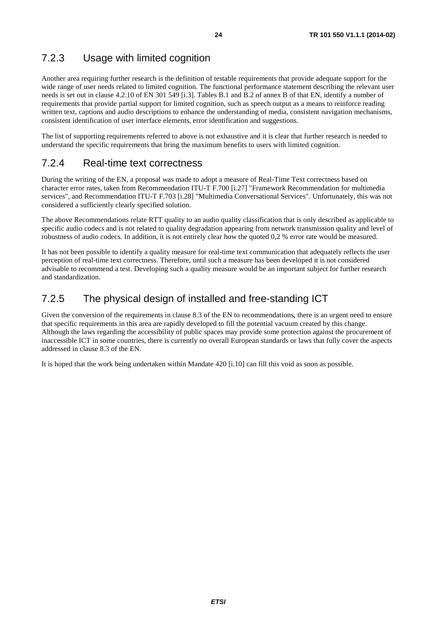#### <span id="page-23-0"></span>7.2.3 Usage with limited cognition

Another area requiring further research is the definition of testable requirements that provide adequate support for the wide range of user needs related to limited cognition. The functional performance statement describing the relevant user needs is set out in clause 4.2.10 of EN 301 549 [i.3]. Tables B.1 and B.2 of annex B of that EN, identify a number of requirements that provide partial support for limited cognition, such as speech output as a means to reinforce reading written text, captions and audio descriptions to enhance the understanding of media, consistent navigation mechanisms, consistent identification of user interface elements, error identification and suggestions.

The list of supporting requirements referred to above is not exhaustive and it is clear that further research is needed to understand the specific requirements that bring the maximum benefits to users with limited cognition.

#### <span id="page-23-1"></span>7.2.4 Real-time text correctness

During the writing of the EN, a proposal was made to adopt a measure of Real-Time Text correctness based on character error rates, taken from Recommendation ITU-T F.700 [i.27] "Framework Recommendation for multimedia services", and Recommendation ITU-T F.703 [i.28] "Multimedia Conversational Services". Unfortunately, this was not considered a sufficiently clearly specified solution.

The above Recommendations relate RTT quality to an audio quality classification that is only described as applicable to specific audio codecs and is not related to quality degradation appearing from network transmission quality and level of robustness of audio codecs. In addition, it is not entirely clear how the quoted 0,2 % error rate would be measured.

It has not been possible to identify a quality measure for real-time text communication that adequately reflects the user perception of real-time text correctness. Therefore, until such a measure has been developed it is not considered advisable to recommend a test. Developing such a quality measure would be an important subject for further research and standardization.

#### <span id="page-23-2"></span>7.2.5 The physical design of installed and free-standing ICT

Given the conversion of the requirements in clause 8.3 of the EN to recommendations, there is an urgent need to ensure that specific requirements in this area are rapidly developed to fill the potential vacuum created by this change. Although the laws regarding the accessibility of public spaces may provide some protection against the procurement of inaccessible ICT in some countries, there is currently no overall European standards or laws that fully cover the aspects addressed in clause 8.3 of the EN.

It is hoped that the work being undertaken within Mandate 420 [i.10] can fill this void as soon as possible.